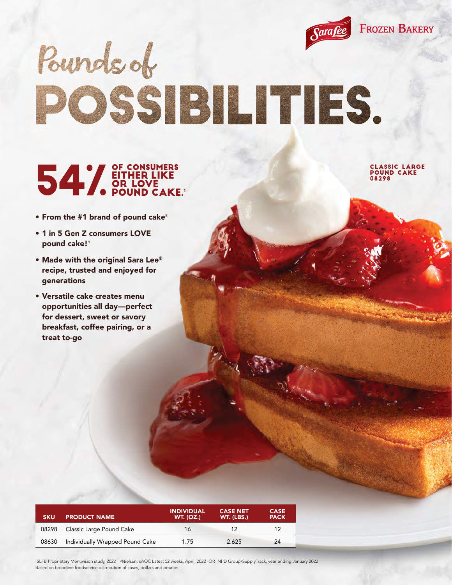

# Pounds of POSSIBILITIES.

#### OF CONSUMERS EITHER LIKE OR LOVE **POUND CAKE.**

CLASSIC LARGE POUND CAKE 08298

- From the #1 brand of pound cake<sup>2</sup>
- 1 in 5 Gen Z consumers LOVE pound cake!<sup>1</sup>
- Made with the original Sara Lee® recipe, trusted and enjoyed for generations
- Versatile cake creates menu opportunities all day—perfect for dessert, sweet or savory breakfast, coffee pairing, or a treat to-go

| <b>SKU</b> | <b>PRODUCT NAME</b>             | <b>INDIVIDUAL</b><br><b>WT. (OZ.)</b> | <b>CASE NET</b><br>WT. (LBS.) | <b>CASE</b><br><b>PACK</b> |
|------------|---------------------------------|---------------------------------------|-------------------------------|----------------------------|
| 08298      | Classic Large Pound Cake        | 16                                    | 12                            | 12                         |
| 08630      | Individually Wrapped Pound Cake | 1.75                                  | 2.625                         | 24                         |

<sup>1</sup>SLFB Proprietary Menuvision study, 2022 <sup>2</sup>Nielsen, xAOC Latest 52 weeks, April, 2022 -OR- NPD Group/SupplyTrack, year ending January 2022 Based on broadline foodservice distribution of cases, dollars and pounds.